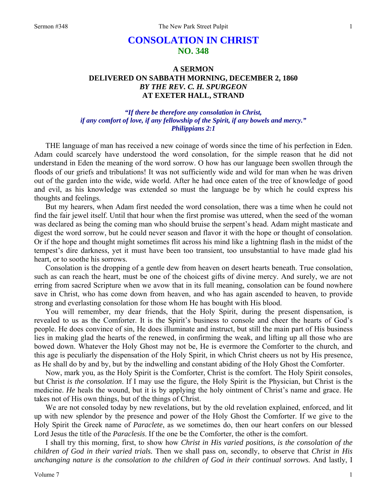# **CONSOLATION IN CHRIST NO. 348**

# **A SERMON DELIVERED ON SABBATH MORNING, DECEMBER 2, 1860**  *BY THE REV. C. H. SPURGEON*  **AT EXETER HALL, STRAND**

# *"If there be therefore any consolation in Christ, if any comfort of love, if any fellowship of the Spirit, if any bowels and mercy." Philippians 2:1*

THE language of man has received a new coinage of words since the time of his perfection in Eden. Adam could scarcely have understood the word consolation, for the simple reason that he did not understand in Eden the meaning of the word sorrow. O how has our language been swollen through the floods of our griefs and tribulations! It was not sufficiently wide and wild for man when he was driven out of the garden into the wide, wide world. After he had once eaten of the tree of knowledge of good and evil, as his knowledge was extended so must the language be by which he could express his thoughts and feelings.

But my hearers, when Adam first needed the word consolation, there was a time when he could not find the fair jewel itself. Until that hour when the first promise was uttered, when the seed of the woman was declared as being the coming man who should bruise the serpent's head. Adam might masticate and digest the word sorrow, but he could never season and flavor it with the hope or thought of consolation. Or if the hope and thought might sometimes flit across his mind like a lightning flash in the midst of the tempest's dire darkness, yet it must have been too transient, too unsubstantial to have made glad his heart, or to soothe his sorrows.

Consolation is the dropping of a gentle dew from heaven on desert hearts beneath. True consolation, such as can reach the heart, must be one of the choicest gifts of divine mercy. And surely, we are not erring from sacred Scripture when we avow that in its full meaning, consolation can be found nowhere save in Christ, who has come down from heaven, and who has again ascended to heaven, to provide strong and everlasting consolation for those whom He has bought with His blood.

You will remember, my dear friends, that the Holy Spirit, during the present dispensation, is revealed to us as the Comforter. It is the Spirit's business to console and cheer the hearts of God's people. He does convince of sin, He does illuminate and instruct, but still the main part of His business lies in making glad the hearts of the renewed, in confirming the weak, and lifting up all those who are bowed down. Whatever the Holy Ghost may not be, He is evermore the Comforter to the church, and this age is peculiarly the dispensation of the Holy Spirit, in which Christ cheers us not by His presence, as He shall do by and by, but by the indwelling and constant abiding of the Holy Ghost the Comforter.

Now, mark you, as the Holy Spirit is the Comforter, Christ is the comfort. The Holy Spirit consoles, but Christ *is the consolation*. If I may use the figure, the Holy Spirit is the Physician, but Christ is the medicine. *He* heals the wound, but it is by applying the holy ointment of Christ's name and grace. He takes not of His own things, but of the things of Christ.

We are not consoled today by new revelations, but by the old revelation explained, enforced, and lit up with new splendor by the presence and power of the Holy Ghost the Comforter. If we give to the Holy Spirit the Greek name of *Paraclete*, as we sometimes do, then our heart confers on our blessed Lord Jesus the title of the *Paraclesis*. If the one be the Comforter, the other is the comfort.

I shall try this morning, first, to show how *Christ in His varied positions, is the consolation of the children of God in their varied trials.* Then we shall pass on, secondly, to observe that *Christ in His unchanging nature is the consolation to the children of God in their continual sorrows.* And lastly, I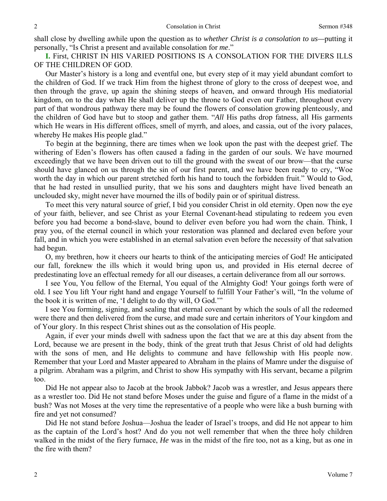shall close by dwelling awhile upon the question as to *whether Christ is a consolation to us—*putting it personally, "Is Christ a present and available consolation for *me*."

**I.** First, CHRIST IN HIS VARIED POSITIONS IS A CONSOLATION FOR THE DIVERS ILLS OF THE CHILDREN OF GOD.

Our Master's history is a long and eventful one, but every step of it may yield abundant comfort to the children of God. If we track Him from the highest throne of glory to the cross of deepest woe, and then through the grave, up again the shining steeps of heaven, and onward through His mediatorial kingdom, on to the day when He shall deliver up the throne to God even our Father, throughout every part of that wondrous pathway there may be found the flowers of consolation growing plenteously, and the children of God have but to stoop and gather them. "*All* His paths drop fatness, all His garments which He wears in His different offices, smell of myrrh, and aloes, and cassia, out of the ivory palaces, whereby He makes His people glad."

To begin at the beginning, there are times when we look upon the past with the deepest grief. The withering of Eden's flowers has often caused a fading in the garden of our souls. We have mourned exceedingly that we have been driven out to till the ground with the sweat of our brow—that the curse should have glanced on us through the sin of our first parent, and we have been ready to cry, "Woe worth the day in which our parent stretched forth his hand to touch the forbidden fruit." Would to God, that he had rested in unsullied purity, that we his sons and daughters might have lived beneath an unclouded sky, might never have mourned the ills of bodily pain or of spiritual distress.

To meet this very natural source of grief, I bid you consider Christ in old eternity. Open now the eye of your faith, believer, and see Christ as your Eternal Covenant-head stipulating to redeem you even before you had become a bond-slave, bound to deliver even before you had worn the chain. Think, I pray you, of the eternal council in which your restoration was planned and declared even before your fall, and in which you were established in an eternal salvation even before the necessity of that salvation had begun.

O, my brethren, how it cheers our hearts to think of the anticipating mercies of God! He anticipated our fall, foreknew the ills which it would bring upon us, and provided in His eternal decree of predestinating love an effectual remedy for all our diseases, a certain deliverance from all our sorrows.

I see You, You fellow of the Eternal, You equal of the Almighty God! Your goings forth were of old. I see You lift Your right hand and engage Yourself to fulfill Your Father's will, "In the volume of the book it is written of me, 'I delight to do thy will, O God.'"

I see You forming, signing, and sealing that eternal covenant by which the souls of all the redeemed were there and then delivered from the curse, and made sure and certain inheritors of Your kingdom and of Your glory. In this respect Christ shines out as the consolation of His people.

Again, if ever your minds dwell with sadness upon the fact that we are at this day absent from the Lord, because we are present in the body, think of the great truth that Jesus Christ of old had delights with the sons of men, and He delights to commune and have fellowship with His people now. Remember that your Lord and Master appeared to Abraham in the plains of Mamre under the disguise of a pilgrim. Abraham was a pilgrim, and Christ to show His sympathy with His servant, became a pilgrim too.

Did He not appear also to Jacob at the brook Jabbok? Jacob was a wrestler, and Jesus appears there as a wrestler too. Did He not stand before Moses under the guise and figure of a flame in the midst of a bush? Was not Moses at the very time the representative of a people who were like a bush burning with fire and yet not consumed?

Did He not stand before Joshua—Joshua the leader of Israel's troops, and did He not appear to him as the captain of the Lord's host? And do you not well remember that when the three holy children walked in the midst of the fiery furnace, *He* was in the midst of the fire too, not as a king, but as one in the fire with them?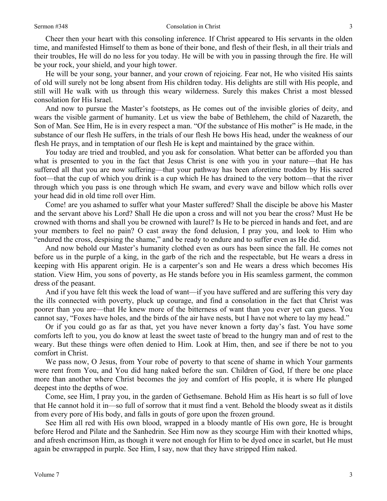Cheer then your heart with this consoling inference. If Christ appeared to His servants in the olden time, and manifested Himself to them as bone of their bone, and flesh of their flesh, in all their trials and their troubles, He will do no less for you today. He will be with you in passing through the fire. He will be your rock, your shield, and your high tower.

He will be your song, your banner, and your crown of rejoicing. Fear not, He who visited His saints of old will surely not be long absent from His children today. His delights are still with His people, and still will He walk with us through this weary wilderness. Surely this makes Christ a most blessed consolation for His Israel.

And now to pursue the Master's footsteps, as He comes out of the invisible glories of deity, and wears the visible garment of humanity. Let us view the babe of Bethlehem, the child of Nazareth, the Son of Man. See Him, He is in every respect a man. "Of the substance of His mother" is He made, in the substance of our flesh He suffers, in the trials of our flesh He bows His head, under the weakness of our flesh He prays, and in temptation of our flesh He is kept and maintained by the grace within.

*You* today are tried and troubled, and you ask for consolation. What better can be afforded you than what is presented to you in the fact that Jesus Christ is one with you in your nature—that He has suffered all that you are now suffering—that your pathway has been aforetime trodden by His sacred foot—that the cup of which you drink is a cup which He has drained to the very bottom—that the river through which you pass is one through which He swam, and every wave and billow which rolls over your head did in old time roll over Him.

Come! are you ashamed to suffer what your Master suffered? Shall the disciple be above his Master and the servant above his Lord? Shall He die upon a cross and will not you bear the cross? Must He be crowned with thorns and shall you be crowned with laurel? Is He to be pierced in hands and feet, and are your members to feel no pain? O cast away the fond delusion, I pray you, and look to Him who "endured the cross, despising the shame," and be ready to endure and to suffer even as He did.

And now behold our Master's humanity clothed even as ours has been since the fall. He comes not before us in the purple of a king, in the garb of the rich and the respectable, but He wears a dress in keeping with His apparent origin. He is a carpenter's son and He wears a dress which becomes His station. View Him, you sons of poverty, as He stands before you in His seamless garment, the common dress of the peasant.

And if you have felt this week the load of want—if you have suffered and are suffering this very day the ills connected with poverty, pluck up courage, and find a consolation in the fact that Christ was poorer than you are—that He knew more of the bitterness of want than you ever yet can guess. You cannot say, "Foxes have holes, and the birds of the air have nests, but I have not where to lay my head."

Or if you could go as far as that, yet you have never known a forty day's fast. You have *some*  comforts left to you, you do know at least the sweet taste of bread to the hungry man and of rest to the weary. But these things were often denied to Him. Look at Him, then, and see if there be not to you comfort in Christ.

We pass now, O Jesus, from Your robe of poverty to that scene of shame in which Your garments were rent from You, and You did hang naked before the sun. Children of God, If there be one place more than another where Christ becomes the joy and comfort of His people, it is where He plunged deepest into the depths of woe.

Come, see Him, I pray you, in the garden of Gethsemane. Behold Him as His heart is so full of love that He cannot hold it in—so full of sorrow that it must find a vent. Behold the bloody sweat as it distils from every pore of His body, and falls in gouts of gore upon the frozen ground.

See Him all red with His own blood, wrapped in a bloody mantle of His own gore, He is brought before Herod and Pilate and the Sanhedrin. See Him now as they scourge Him with their knotted whips, and afresh encrimson Him, as though it were not enough for Him to be dyed once in scarlet, but He must again be enwrapped in purple. See Him, I say, now that they have stripped Him naked.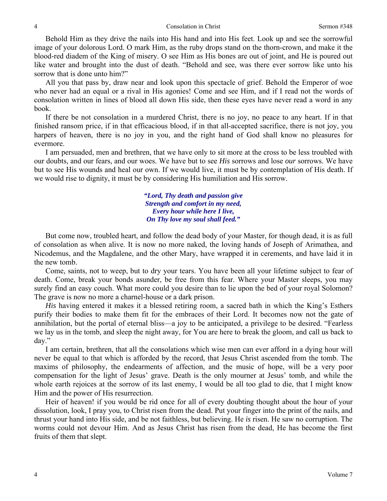Behold Him as they drive the nails into His hand and into His feet. Look up and see the sorrowful image of your dolorous Lord. O mark Him, as the ruby drops stand on the thorn-crown, and make it the blood-red diadem of the King of misery. O see Him as His bones are out of joint, and He is poured out like water and brought into the dust of death. "Behold and see, was there ever sorrow like unto his sorrow that is done unto him?"

All you that pass by, draw near and look upon this spectacle of grief. Behold the Emperor of woe who never had an equal or a rival in His agonies! Come and see Him, and if I read not the words of consolation written in lines of blood all down His side, then these eyes have never read a word in any book.

If there be not consolation in a murdered Christ, there is no joy, no peace to any heart. If in that finished ransom price, if in that efficacious blood, if in that all-accepted sacrifice, there is not joy, you harpers of heaven, there is no joy in you, and the right hand of God shall know no pleasures for evermore.

I am persuaded, men and brethren, that we have only to sit more at the cross to be less troubled with our doubts, and our fears, and our woes. We have but to see *His* sorrows and lose *our* sorrows. We have but to see His wounds and heal our own. If we would live, it must be by contemplation of His death. If we would rise to dignity, it must be by considering His humiliation and His sorrow.

> *"Lord, Thy death and passion give Strength and comfort in my need, Every hour while here I live, On Thy love my soul shall feed."*

But come now, troubled heart, and follow the dead body of your Master, for though dead, it is as full of consolation as when alive. It is now no more naked, the loving hands of Joseph of Arimathea, and Nicodemus, and the Magdalene, and the other Mary, have wrapped it in cerements, and have laid it in the new tomb.

Come, saints, not to weep, but to dry your tears. You have been all your lifetime subject to fear of death. Come, break your bonds asunder, be free from this fear. Where your Master sleeps, you may surely find an easy couch. What more could you desire than to lie upon the bed of your royal Solomon? The grave is now no more a charnel-house or a dark prison.

*His* having entered it makes it a blessed retiring room, a sacred bath in which the King's Esthers purify their bodies to make them fit for the embraces of their Lord. It becomes now not the gate of annihilation, but the portal of eternal bliss—a joy to be anticipated, a privilege to be desired. "Fearless we lay us in the tomb, and sleep the night away, for You are here to break the gloom, and call us back to day."

I am certain, brethren, that all the consolations which wise men can ever afford in a dying hour will never be equal to that which is afforded by the record, that Jesus Christ ascended from the tomb. The maxims of philosophy, the endearments of affection, and the music of hope, will be a very poor compensation for the light of Jesus' grave. Death is the only mourner at Jesus' tomb, and while the whole earth rejoices at the sorrow of its last enemy, I would be all too glad to die, that I might know Him and the power of His resurrection.

Heir of heaven! if you would be rid once for all of every doubting thought about the hour of your dissolution, look, I pray you, to Christ risen from the dead. Put your finger into the print of the nails, and thrust your hand into His side, and be not faithless, but believing. He *is* risen. He saw no corruption. The worms could not devour Him. And as Jesus Christ has risen from the dead, He has become the first fruits of them that slept.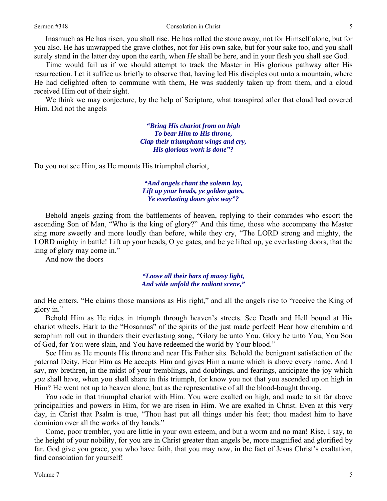#### Sermon #348 Consolation in Christ

Inasmuch as He has risen, you shall rise. He has rolled the stone away, not for Himself alone, but for you also. He has unwrapped the grave clothes, not for His own sake, but for your sake too, and you shall surely stand in the latter day upon the earth, when *He* shall be here, and in your flesh you shall see God.

Time would fail us if we should attempt to track the Master in His glorious pathway after His resurrection. Let it suffice us briefly to observe that, having led His disciples out unto a mountain, where He had delighted often to commune with them, He was suddenly taken up from them, and a cloud received Him out of their sight.

We think we may conjecture, by the help of Scripture, what transpired after that cloud had covered Him. Did not the angels

> *"Bring His chariot from on high To bear Him to His throne, Clap their triumphant wings and cry, His glorious work is done"?*

Do you not see Him, as He mounts His triumphal chariot,

*"And angels chant the solemn lay, Lift up your heads, ye golden gates, Ye everlasting doors give way"?* 

Behold angels gazing from the battlements of heaven, replying to their comrades who escort the ascending Son of Man, "Who is the king of glory?" And this time, those who accompany the Master sing more sweetly and more loudly than before, while they cry, "The LORD strong and mighty, the LORD mighty in battle! Lift up your heads, O ye gates, and be ye lifted up, ye everlasting doors, that the king of glory may come in."

And now the doors

*"Loose all their bars of massy light, And wide unfold the radiant scene,"* 

and He enters. "He claims those mansions as His right," and all the angels rise to "receive the King of glory in."

Behold Him as He rides in triumph through heaven's streets. See Death and Hell bound at His chariot wheels. Hark to the "Hosannas" of the spirits of the just made perfect! Hear how cherubim and seraphim roll out in thunders their everlasting song, "Glory be unto You. Glory be unto You, You Son of God, for You were slain, and You have redeemed the world by Your blood."

See Him as He mounts His throne and near His Father sits. Behold the benignant satisfaction of the paternal Deity. Hear Him as He accepts Him and gives Him a name which is above every name. And I say, my brethren, in the midst of your tremblings, and doubtings, and fearings, anticipate the joy which *you* shall have, when you shall share in this triumph, for know you not that you ascended up on high in Him? He went not up to heaven alone, but as the representative of all the blood-bought throng.

*You* rode in that triumphal chariot with Him. You were exalted on high, and made to sit far above principalities and powers in Him, for we are risen in Him. We are exalted in Christ. Even at this very day, in Christ that Psalm is true, "Thou hast put all things under his feet; thou madest him to have dominion over all the works of thy hands."

Come, poor trembler, you are little in your own esteem, and but a worm and no man! Rise, I say, to the height of your nobility, for you are in Christ greater than angels be, more magnified and glorified by far. God give you grace, you who have faith, that you may now, in the fact of Jesus Christ's exaltation, find consolation for yourself!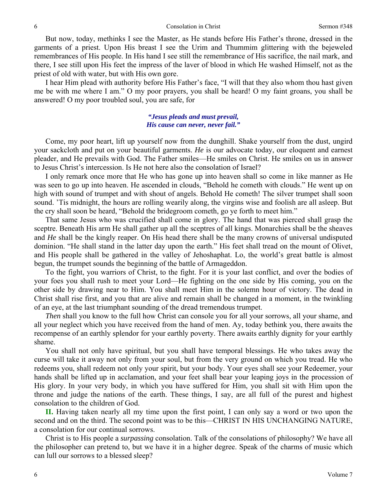But now, today, methinks I see the Master, as He stands before His Father's throne, dressed in the garments of a priest. Upon His breast I see the Urim and Thummim glittering with the bejeweled remembrances of His people. In His hand I see still the remembrance of His sacrifice, the nail mark, and there, I see still upon His feet the impress of the laver of blood in which He washed Himself, not as the priest of old with water, but with His own gore.

I hear Him plead with authority before His Father's face, "I will that they also whom thou hast given me be with me where I am." O my poor prayers, you shall be heard! O my faint groans, you shall be answered! O my poor troubled soul, you are safe, for

## *"Jesus pleads and must prevail, His cause can never, never fail."*

Come, my poor heart, lift up yourself now from the dunghill. Shake yourself from the dust, ungird your sackcloth and put on your beautiful garments. *He* is our advocate today, our eloquent and earnest pleader, and He prevails with God. The Father smiles—He smiles on Christ. He smiles on us in answer to Jesus Christ's intercession. Is He not here also the consolation of Israel?

I only remark once more that He who has gone up into heaven shall so come in like manner as He was seen to go up into heaven. He ascended in clouds, "Behold he cometh with clouds." He went up on high with sound of trumpet and with shout of angels. Behold He cometh! The silver trumpet shall soon sound. 'Tis midnight, the hours are rolling wearily along, the virgins wise and foolish are all asleep. But the cry shall soon be heard, "Behold the bridegroom cometh, go ye forth to meet him."

That same Jesus who was crucified shall come in glory. The hand that was pierced shall grasp the sceptre. Beneath His arm He shall gather up all the sceptres of all kings. Monarchies shall be the sheaves and *He* shall be the kingly reaper. On His head there shall be the many crowns of universal undisputed dominion. "He shall stand in the latter day upon the earth." His feet shall tread on the mount of Olivet, and His people shall be gathered in the valley of Jehoshaphat. Lo, the world's great battle is almost begun, the trumpet sounds the beginning of the battle of Armageddon.

To the fight, you warriors of Christ, to the fight. For it is your last conflict, and over the bodies of your foes you shall rush to meet your Lord—He fighting on the one side by His coming, you on the other side by drawing near to Him. You shall meet Him in the solemn hour of victory. The dead in Christ shall rise first, and you that are alive and remain shall be changed in a moment, in the twinkling of an eye, at the last triumphant sounding of the dread tremendous trumpet.

*Then* shall you know to the full how Christ can console you for all your sorrows, all your shame, and all your neglect which you have received from the hand of men. Ay, today bethink you, there awaits the recompense of an earthly splendor for your earthly poverty. There awaits earthly dignity for your earthly shame.

You shall not only have spiritual, but you shall have temporal blessings. He who takes away the curse will take it away not only from your soul, but from the very ground on which you tread. He who redeems you, shall redeem not only your spirit, but your body. Your eyes shall see your Redeemer, your hands shall be lifted up in acclamation, and your feet shall bear your leaping joys in the procession of His glory. In your very body, in which you have suffered for Him, you shall sit with Him upon the throne and judge the nations of the earth. These things, I say, are all full of the purest and highest consolation to the children of God.

**II.** Having taken nearly all my time upon the first point, I can only say a word or two upon the second and on the third. The second point was to be this—CHRIST IN HIS UNCHANGING NATURE, a consolation for our continual sorrows.

Christ is to His people a *surpassing* consolation. Talk of the consolations of philosophy? We have all the philosopher can pretend to, but we have it in a higher degree. Speak of the charms of music which can lull our sorrows to a blessed sleep?

6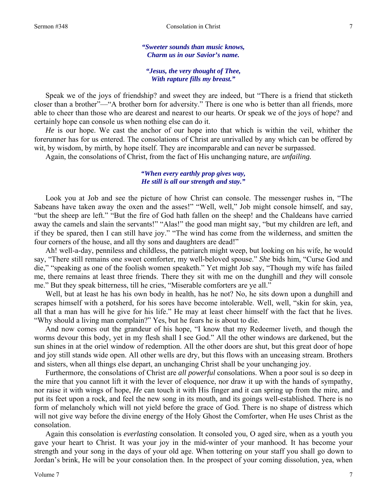*"Sweeter sounds than music knows, Charm us in our Savior's name.* 

*"Jesus, the very thought of Thee, With rapture fills my breast."* 

Speak we of the joys of friendship? and sweet they are indeed, but "There is a friend that sticketh closer than a brother"—"A brother born for adversity." There is one who is better than all friends, more able to cheer than those who are dearest and nearest to our hearts. Or speak we of the joys of hope? and certainly hope can console us when nothing else can do it.

*He* is our hope. We cast the anchor of our hope into that which is within the veil, whither the forerunner has for us entered. The consolations of Christ are unrivalled by any which can be offered by wit, by wisdom, by mirth, by hope itself. They are incomparable and can never be surpassed.

Again, the consolations of Christ, from the fact of His unchanging nature, are *unfailing.* 

### *"When every earthly prop gives way, He still is all our strength and stay."*

Look you at Job and see the picture of how Christ can console. The messenger rushes in, "The Sabeans have taken away the oxen and the asses!" "Well, well," Job might console himself, and say, "but the sheep are left." "But the fire of God hath fallen on the sheep! and the Chaldeans have carried away the camels and slain the servants!" "Alas!" the good man might say, "but my children are left, and if they be spared, then I can still have joy." "The wind has come from the wilderness, and smitten the four corners of the house, and all thy sons and daughters are dead!"

Ah! well-a-day, penniless and childless, the patriarch might weep, but looking on his wife, he would say, "There still remains one sweet comforter, my well-beloved spouse." *She* bids him, "Curse God and die," "speaking as one of the foolish women speaketh." Yet might Job say, "Though my wife has failed me, there remains at least three friends. There they sit with me on the dunghill and *they* will console me." But they speak bitterness, till he cries, "Miserable comforters are ye all."

Well, but at least he has his own body in health, has he not? No, he sits down upon a dunghill and scrapes himself with a potsherd, for his sores have become intolerable. Well, well, "skin for skin, yea, all that a man has will he give for his life." He may at least cheer himself with the fact that he lives. "Why should a living man complain?" Yes, but he fears he is about to die.

And now comes out the grandeur of his hope, "I know that my Redeemer liveth, and though the worms devour this body, yet in my flesh shall I see God." All the other windows are darkened, but the sun shines in at the oriel window of redemption. All the other doors are shut, but this great door of hope and joy still stands wide open. All other wells are dry, but this flows with an unceasing stream. Brothers and sisters, when all things else depart, an unchanging Christ shall be your unchanging joy.

Furthermore, the consolations of Christ are *all powerful* consolations. When a poor soul is so deep in the mire that you cannot lift it with the lever of eloquence, nor draw it up with the hands of sympathy, nor raise it with wings of hope, *He* can touch it with His finger and it can spring up from the mire, and put its feet upon a rock, and feel the new song in its mouth, and its goings well-established. There is no form of melancholy which will not yield before the grace of God. There is no shape of distress which will not give way before the divine energy of the Holy Ghost the Comforter, when He uses Christ as the consolation.

Again this consolation is *everlasting* consolation. It consoled you, O aged sire, when as a youth you gave your heart to Christ. It was your joy in the mid-winter of your manhood. It has become your strength and your song in the days of your old age. When tottering on your staff you shall go down to Jordan's brink, He will be your consolation then. In the prospect of your coming dissolution, yea, when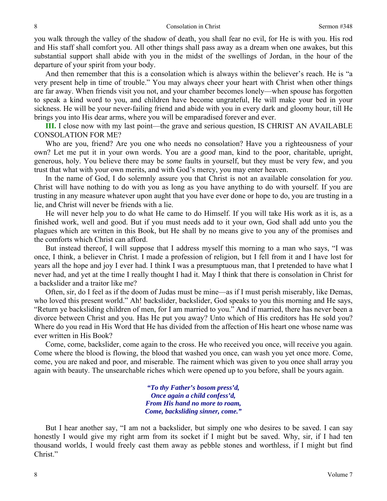you walk through the valley of the shadow of death, you shall fear no evil, for He is with you. His rod and His staff shall comfort you. All other things shall pass away as a dream when one awakes, but this substantial support shall abide with you in the midst of the swellings of Jordan, in the hour of the departure of your spirit from your body.

And then remember that this is a consolation which is always within the believer's reach. He is "a very present help in time of trouble." You may always cheer your heart with Christ when other things are far away. When friends visit you not, and your chamber becomes lonely—when spouse has forgotten to speak a kind word to you, and children have become ungrateful, He will make your bed in your sickness. He will be your never-failing friend and abide with you in every dark and gloomy hour, till He brings you into His dear arms, where you will be emparadised forever and ever.

**III.** I close now with my last point—the grave and serious question, IS CHRIST AN AVAILABLE CONSOLATION FOR ME?

Who are you, friend? Are you one who needs no consolation? Have you a righteousness of your own? Let me put it in your own words. You are a *good* man, kind to the poor, charitable, upright, generous, holy. You believe there may be *some* faults in yourself, but they must be very few, and you trust that what with your own merits, and with God's mercy, you may enter heaven.

In the name of God, I do solemnly assure you that Christ is not an available consolation for *you*. Christ will have nothing to do with you as long as you have anything to do with yourself. If you are trusting in any measure whatever upon aught that you have ever done or hope to do, you are trusting in a lie, and Christ will never be friends with a lie.

He will never help *you* to do what He came to do Himself. If you will take His work as it is, as a finished work, well and good. But if you must needs add to it your own, God shall add unto you the plagues which are written in this Book, but He shall by no means give to you any of the promises and the comforts which Christ can afford.

But instead thereof, I will suppose that I address myself this morning to a man who says, "I was once, I think, a believer in Christ. I made a profession of religion, but I fell from it and I have lost for years all the hope and joy I ever had. I think I was a presumptuous man, that I pretended to have what I never had, and yet at the time I really thought I had it. May I think that there is consolation in Christ for a backslider and a traitor like me?

Often, sir, do I feel as if the doom of Judas must be mine—as if I must perish miserably, like Demas, who loved this present world." Ah! backslider, backslider, God speaks to you this morning and He says, "Return ye backsliding children of men, for I am married to you." And if married, there has never been a divorce between Christ and you. Has He put you away? Unto which of His creditors has He sold you? Where do you read in His Word that He has divided from the affection of His heart one whose name was ever written in His Book?

Come, come, backslider, come again to the cross. He who received you once, will receive you again. Come where the blood is flowing, the blood that washed you once, can wash you yet once more. Come, come, you are naked and poor, and miserable. The raiment which was given to you once shall array you again with beauty. The unsearchable riches which were opened up to you before, shall be yours again.

> *"To thy Father's bosom press'd, Once again a child confess'd, From His hand no more to roam, Come, backsliding sinner, come."*

But I hear another say, "I am not a backslider, but simply one who desires to be saved. I can say honestly I would give my right arm from its socket if I might but be saved. Why, sir, if I had ten thousand worlds, I would freely cast them away as pebble stones and worthless, if I might but find Christ."

8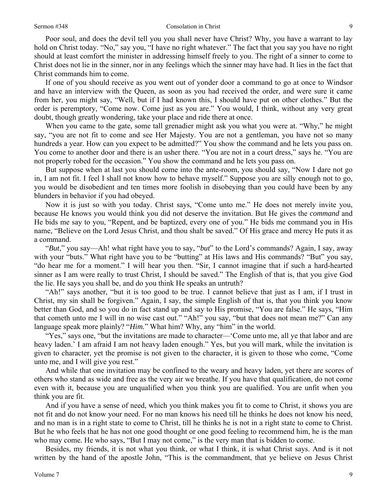#### Sermon #348 Consolation in Christ

Poor soul, and does the devil tell you you shall never have Christ? Why, you have a warrant to lay hold on Christ today. "No," say you, "I have no right whatever." The fact that you say you have no right should at least comfort the minister in addressing himself freely to you. The right of a sinner to come to Christ does not lie in the sinner, nor in any feelings which the sinner may have had. It lies in the fact that Christ commands him to come.

If one of you should receive as you went out of yonder door a command to go at once to Windsor and have an interview with the Queen, as soon as you had received the order, and were sure it came from her, you might say, "Well, but if I had known this, I should have put on other clothes." But the order is peremptory, "Come now. Come just as you are." You would, I think, without any very great doubt, though greatly wondering, take your place and ride there at once.

When you came to the gate, some tall grenadier might ask you what you were at. "Why," he might say, "you are not fit to come and see Her Majesty. You are not a gentleman, you have not so many hundreds a year. How can you expect to be admitted?" You show the command and he lets you pass on. You come to another door and there is an usher there. "You are not in a court dress," says he. "You are not properly robed for the occasion." You show the command and he lets you pass on.

But suppose when at last you should come into the ante-room, you should say, "Now I dare not go in, I am not fit. I feel I shall not know how to behave myself." Suppose you are silly enough not to go, you would be disobedient and ten times more foolish in disobeying than you could have been by any blunders in behavior if you had obeyed.

Now it is just so with you today. Christ says, "Come unto me." He does not merely invite you, because He knows you would think you did not deserve the invitation. But He gives the *command* and He bids me say to you, "Repent, and be baptized, every one of you." He bids me command you in His name, "Believe on the Lord Jesus Christ, and thou shalt be saved." Of His grace and mercy He puts it as a command.

"*But*," you say—Ah! what right have you to say, "*but*" to the Lord's commands? Again, I say, away with your "buts." What right have you to be "butting" at His laws and His commands? "But" you say, "do hear me for a moment." I will hear you then. "Sir, I cannot imagine that if such a hard-hearted sinner as I am were really to trust Christ, I should be saved." The English of that is, that you give God the lie. He says you shall be, and do you think He speaks an untruth?

"Ah!" says another, "but it is too good to be true. I cannot believe that just as I am, if I trust in Christ, my sin shall be forgiven." Again, I say, the simple English of that is, that you think you know better than God, and so you do in fact stand up and say to His promise, "You are false." He says, "Him that cometh unto me I will in no wise cast out." "Ah!" you say, "but that does not mean me?" Can any language speak more plainly? "*Him.*" What him? Why, any "him" in the world.

"Yes," says one, "but the invitations are made to character—'Come unto me, all ye that labor and are heavy laden.' I am afraid I am not heavy laden enough." Yes, but you will mark, while the invitation is given to character, yet the promise is not given to the character, it is given to those who come, "Come unto me, and I will give you rest."

And while that one invitation may be confined to the weary and heavy laden, yet there are scores of others who stand as wide and free as the very air we breathe. If you have that qualification, do not come even with it, because you are unqualified when you think you are qualified. You are unfit when you think you are fit.

And if you have a sense of need, which you think makes you fit to come to Christ, it shows you are not fit and do not know your need. For no man knows his need till he thinks he does not know his need, and no man is in a right state to come to Christ, till he thinks he is not in a right state to come to Christ. But he who feels that he has not one good thought or one good feeling to recommend him, he is the man who may come. He who says, "But I may not come," is the very man that is bidden to come.

Besides, my friends, it is not what you think, or what I think, it is what Christ says. And is it not written by the hand of the apostle John, "This is the commandment, that ye believe on Jesus Christ